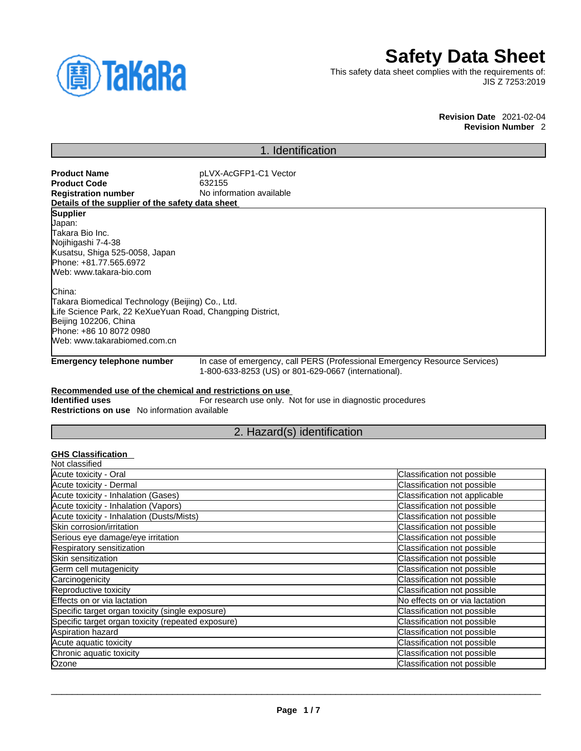

# **Safety Data Sheet**

This safety data sheet complies with the requirements of: JIS Z 7253:2019

> **Revision Date** 2021-02-04 **Revision Number** 2

# 1. Identification

**Product Name** pLVX-AcGFP1-C1 Vector **Product Code**<br>Registration number **No information available Details of the supplier of the safety data sheet Emergency telephone number** In case of emergency, call PERS (Professional Emergency Resource Services) 1-800-633-8253 (US) or 801-629-0667 (international). **Recommended use of the chemical and restrictions on use Identified uses** For research use only. Not for use in diagnostic procedures **Restrictions on use** No information available **Supplier** Japan: Takara Bio Inc. Nojihigashi 7-4-38 Kusatsu, Shiga 525-0058, Japan Phone: +81.77.565.6972 Web: www.takara-bio.com China: Takara Biomedical Technology (Beijing) Co., Ltd. Life Science Park, 22 KeXueYuan Road, Changping District, Beijing 102206, China Phone: +86 10 8072 0980 Web: www.takarabiomed.com.cn

# 2. Hazard(s) identification

# **GHS Classification**

| Not classified                                     |                                |
|----------------------------------------------------|--------------------------------|
| Acute toxicity - Oral                              | Classification not possible    |
| Acute toxicity - Dermal                            | Classification not possible    |
| Acute toxicity - Inhalation (Gases)                | Classification not applicable  |
| Acute toxicity - Inhalation (Vapors)               | Classification not possible    |
| Acute toxicity - Inhalation (Dusts/Mists)          | Classification not possible    |
| Skin corrosion/irritation                          | Classification not possible    |
| Serious eye damage/eye irritation                  | Classification not possible    |
| Respiratory sensitization                          | Classification not possible    |
| Skin sensitization                                 | Classification not possible    |
| Germ cell mutagenicity                             | Classification not possible    |
| Carcinogenicity                                    | Classification not possible    |
| Reproductive toxicity                              | Classification not possible    |
| Effects on or via lactation                        | No effects on or via lactation |
| Specific target organ toxicity (single exposure)   | Classification not possible    |
| Specific target organ toxicity (repeated exposure) | Classification not possible    |
| Aspiration hazard                                  | Classification not possible    |
| Acute aquatic toxicity                             | Classification not possible    |
| Chronic aquatic toxicity                           | Classification not possible    |
| Ozone                                              | Classification not possible    |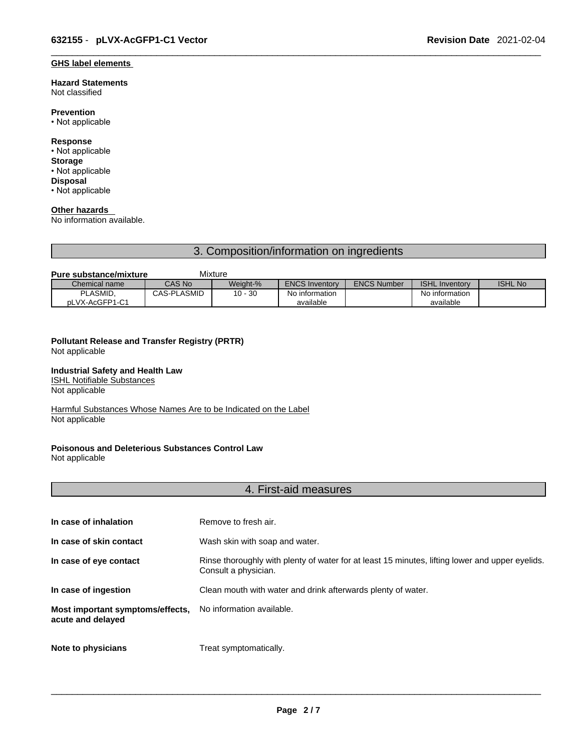# **GHS label elements**

#### **Hazard Statements**  Not classified

**Prevention**

• Not applicable

#### **Response**

- Not applicable **Storage**
- Not applicable **Disposal**
- Not applicable

# **Other hazards**

No information available.

# 3. Composition/information on ingredients

# **Pure substance/mixture Mixture**

| Chemical name  | CAS No             | Weight-%        | <b>ENCS Inventory</b> | <b>ENCS Number</b> | <b>ISHL Inventory</b> | <b>ISHL No</b> |
|----------------|--------------------|-----------------|-----------------------|--------------------|-----------------------|----------------|
| <b>PLASMID</b> | <b>CAS-PLASMID</b> | $-30$<br>$10 -$ | No information        |                    | No information        |                |
| pLVX-AcGFP1-C1 |                    |                 | available             |                    | available             |                |

# **Pollutant Release and Transfer Registry (PRTR)**

Not applicable

# **Industrial Safety and Health Law**

**ISHL Notifiable Substances** 

Not applicable

Harmful Substances Whose Names Are to be Indicated on the Label Not applicable

# **Poisonous and Deleterious Substances Control Law**

Not applicable

# 4. First-aid measures

| In case of inhalation                                 | Remove to fresh air.                                                                                                    |
|-------------------------------------------------------|-------------------------------------------------------------------------------------------------------------------------|
| In case of skin contact                               | Wash skin with soap and water.                                                                                          |
| In case of eye contact                                | Rinse thoroughly with plenty of water for at least 15 minutes, lifting lower and upper eyelids.<br>Consult a physician. |
| In case of ingestion                                  | Clean mouth with water and drink afterwards plenty of water.                                                            |
| Most important symptoms/effects,<br>acute and delayed | No information available.                                                                                               |
| Note to physicians                                    | Treat symptomatically.                                                                                                  |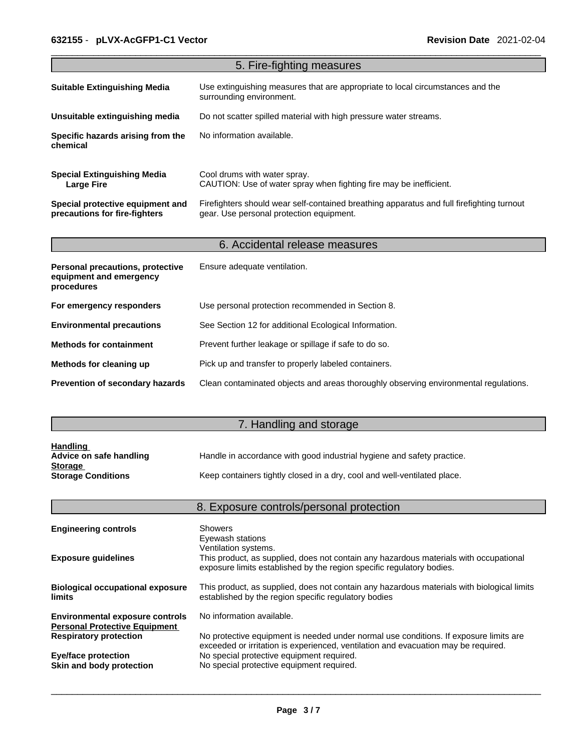|                                                                                  | 5. Fire-fighting measures                                                                                                             |
|----------------------------------------------------------------------------------|---------------------------------------------------------------------------------------------------------------------------------------|
| <b>Suitable Extinguishing Media</b>                                              | Use extinguishing measures that are appropriate to local circumstances and the<br>surrounding environment.                            |
| Unsuitable extinguishing media                                                   | Do not scatter spilled material with high pressure water streams.                                                                     |
| Specific hazards arising from the<br>chemical                                    | No information available.                                                                                                             |
| <b>Special Extinguishing Media</b><br><b>Large Fire</b>                          | Cool drums with water spray.<br>CAUTION: Use of water spray when fighting fire may be inefficient.                                    |
| Special protective equipment and<br>precautions for fire-fighters                | Firefighters should wear self-contained breathing apparatus and full firefighting turnout<br>gear. Use personal protection equipment. |
|                                                                                  | 6. Accidental release measures                                                                                                        |
| <b>Personal precautions, protective</b><br>equipment and emergency<br>procedures | Ensure adequate ventilation.                                                                                                          |
| For emergency responders                                                         | Use personal protection recommended in Section 8.                                                                                     |
| <b>Environmental precautions</b>                                                 | See Section 12 for additional Ecological Information.                                                                                 |
| <b>Methods for containment</b>                                                   | Prevent further leakage or spillage if safe to do so.                                                                                 |
| Methods for cleaning up                                                          | Pick up and transfer to properly labeled containers.                                                                                  |
| Prevention of secondary hazards                                                  | Clean contaminated objects and areas thoroughly observing environmental regulations.                                                  |

# 7. Handling and storage

| <b>Handling</b>           |                                                                          |
|---------------------------|--------------------------------------------------------------------------|
| Advice on safe handling   | Handle in accordance with good industrial hygiene and safety practice.   |
| <b>Storage</b>            |                                                                          |
| <b>Storage Conditions</b> | Keep containers tightly closed in a dry, cool and well-ventilated place. |

|                                                                                | 8. Exposure controls/personal protection                                                                                                                                               |
|--------------------------------------------------------------------------------|----------------------------------------------------------------------------------------------------------------------------------------------------------------------------------------|
| <b>Engineering controls</b>                                                    | Showers<br>Eyewash stations                                                                                                                                                            |
| <b>Exposure guidelines</b>                                                     | Ventilation systems.<br>This product, as supplied, does not contain any hazardous materials with occupational<br>exposure limits established by the region specific regulatory bodies. |
| <b>Biological occupational exposure</b><br><b>limits</b>                       | This product, as supplied, does not contain any hazardous materials with biological limits<br>established by the region specific regulatory bodies                                     |
| <b>Environmental exposure controls</b><br><b>Personal Protective Equipment</b> | No information available.                                                                                                                                                              |
| <b>Respiratory protection</b>                                                  | No protective equipment is needed under normal use conditions. If exposure limits are<br>exceeded or irritation is experienced, ventilation and evacuation may be required.            |
| <b>Eye/face protection</b><br>Skin and body protection                         | No special protective equipment required.<br>No special protective equipment required.                                                                                                 |
|                                                                                |                                                                                                                                                                                        |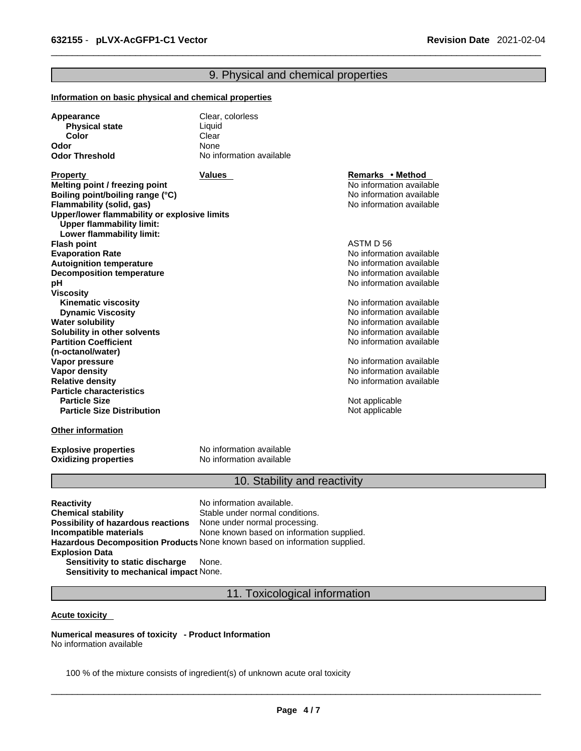# 9. Physical and chemical properties

#### **Information on basic physical and chemical properties**

| Appearance            | Clear, colorless         |
|-----------------------|--------------------------|
| <b>Physical state</b> | Liauid                   |
| Color                 | Clear                    |
| Odor                  | <b>None</b>              |
| <b>Odor Threshold</b> | No information available |

**Property Remarks • Property Remarks • Method Melting point / freezing point**  $\blacksquare$  **Melting point** No information available **Boiling point/boiling range (°C)** and the set of the set of the No information available **Flammability (solid, gas)** No information available **Upper/lower flammability or explosive limits Upper flammability limit: Lower flammability limit: Flash point** ASTM D 56 **Evaporation Rate**<br> **Autoignition temperature**<br> **Autoignition temperature**<br> **Autoignition available Autoignition temperature**<br> **Decomposition temperature** Noinformation available<br>
No information available **Decomposition temperature pH pH** *pH* **Viscosity Kinematic viscosity Notified and Server Allen available** Note that Monder available **Dynamic Viscosity No information available** No information available **Water solubility Water solubility Water solubility Water Solubility Water Solubility Water Solubility Water Solubility Water Solubility Water Solubility Water Solubility Water Solub Solubility in other solvents intervalsed notation No information available No** information available **Partition Coefficient (n-octanol/water) Vapor pressure**<br> **Vapor density**<br> **Vapor density**<br> **Vapor density Vapor density**<br> **Vapor density**<br> **Relative density**<br> **Relative density Particle characteristics Particle Size Distribution** Not applicable

#### **Other information**

**Oxidizing properties** 

**Explosive properties**<br> **Oxidizing properties**<br>
No information available

# 10. Stability and reactivity

No information available

**Relative density** No information available

**Not applicable** 

**Reactivity No information available. Chemical stability** Stable under normal conditions. **Possibility of hazardous reactions** None under normal processing. **Incompatible materials** None known based on information supplied. **Hazardous Decomposition Products** None known based on information supplied. **Explosion Data Sensitivity to static discharge** None.

**Sensitivity to mechanical impact** None.

11. Toxicological information

#### **Acute toxicity**

**Numerical measures of toxicity - Product Information** No information available

100 % of the mixture consists of ingredient(s) of unknown acute oral toxicity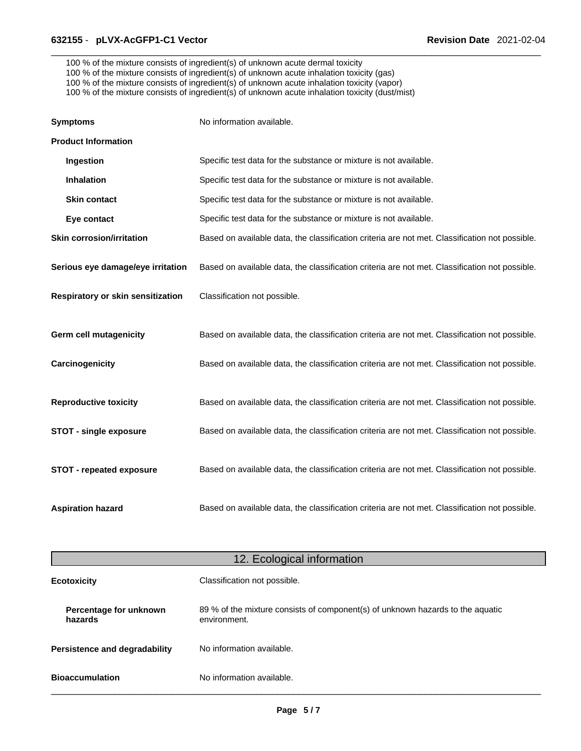100 % of the mixture consists of ingredient(s) of unknown acute dermal toxicity

100 % of the mixture consists of ingredient(s) of unknown acute inhalation toxicity (gas)

100 % of the mixture consists of ingredient(s) of unknown acute inhalation toxicity (vapor)

100 % of the mixture consists of ingredient(s) of unknown acute inhalation toxicity (dust/mist)

| <b>Symptoms</b>                   | No information available.                                                                      |
|-----------------------------------|------------------------------------------------------------------------------------------------|
| <b>Product Information</b>        |                                                                                                |
| Ingestion                         | Specific test data for the substance or mixture is not available.                              |
| <b>Inhalation</b>                 | Specific test data for the substance or mixture is not available.                              |
| <b>Skin contact</b>               | Specific test data for the substance or mixture is not available.                              |
| Eye contact                       | Specific test data for the substance or mixture is not available.                              |
| <b>Skin corrosion/irritation</b>  | Based on available data, the classification criteria are not met. Classification not possible. |
| Serious eye damage/eye irritation | Based on available data, the classification criteria are not met. Classification not possible. |
| Respiratory or skin sensitization | Classification not possible.                                                                   |
| <b>Germ cell mutagenicity</b>     | Based on available data, the classification criteria are not met. Classification not possible. |
| Carcinogenicity                   | Based on available data, the classification criteria are not met. Classification not possible. |
| <b>Reproductive toxicity</b>      | Based on available data, the classification criteria are not met. Classification not possible. |
| <b>STOT - single exposure</b>     | Based on available data, the classification criteria are not met. Classification not possible. |
| STOT - repeated exposure          | Based on available data, the classification criteria are not met. Classification not possible. |
| <b>Aspiration hazard</b>          | Based on available data, the classification criteria are not met. Classification not possible. |

|                                   | 12. Ecological information                                                                     |
|-----------------------------------|------------------------------------------------------------------------------------------------|
| <b>Ecotoxicity</b>                | Classification not possible.                                                                   |
| Percentage for unknown<br>hazards | 89 % of the mixture consists of component(s) of unknown hazards to the aquatic<br>environment. |
| Persistence and degradability     | No information available.                                                                      |
| <b>Bioaccumulation</b>            | No information available.                                                                      |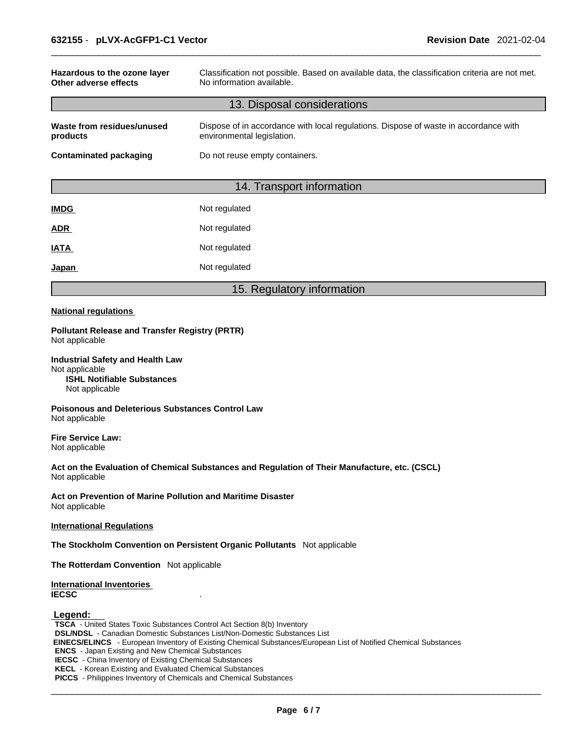| Classification not possible. Based on available data, the classification criteria are not met.<br>No information available. |
|-----------------------------------------------------------------------------------------------------------------------------|
| 13. Disposal considerations                                                                                                 |
| Dispose of in accordance with local regulations. Dispose of waste in accordance with<br>environmental legislation.          |
| Do not reuse empty containers.                                                                                              |
| 14. Transport information                                                                                                   |
| Not regulated                                                                                                               |
| Not regulated                                                                                                               |
|                                                                                                                             |

**IATA** Not regulated

**Japan Not regulated** 

# 15. Regulatory information

#### **National regulations**

**Pollutant Release and Transfer Registry (PRTR)** Not applicable

**Industrial Safety and Health Law** Not applicable **ISHL Notifiable Substances** Not applicable

**Poisonous and Deleterious Substances Control Law** Not applicable

**Fire Service Law:** Not applicable

**Act on the Evaluation of Chemical Substances and Regulation of Their Manufacture, etc. (CSCL)** Not applicable

**Act on Prevention of Marine Pollution and Maritime Disaster** Not applicable

# **International Regulations**

**The Stockholm Convention on Persistent Organic Pollutants** Not applicable

**The Rotterdam Convention** Not applicable

**International Inventories IECSC** .

#### **Legend:**

**TSCA** - United States Toxic Substances Control Act Section 8(b) Inventory **DSL/NDSL** - Canadian Domestic Substances List/Non-Domestic Substances List  **EINECS/ELINCS** - European Inventory of Existing Chemical Substances/European List of Notified Chemical Substances **ENCS** - Japan Existing and New Chemical Substances **IECSC** - China Inventory of Existing Chemical Substances **KECL** - Korean Existing and Evaluated Chemical Substances **PICCS** - Philippines Inventory of Chemicals and Chemical Substances